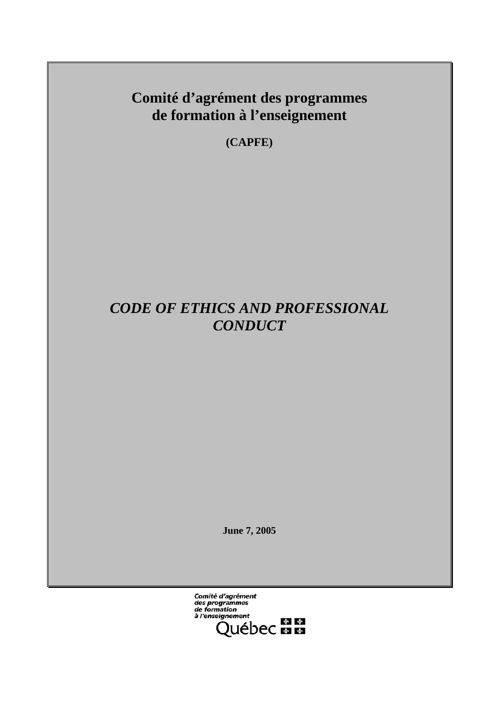**Comité d'agrément des programmes de formation à l'enseignement** 

**(CAPFE)** 

# *CODE OF ETHICS AND PROFESSIONAL CONDUCT*

**June 7, 2005** 

**Comité d'agrément<br>des programmes<br>de formation** à l'enseignement eignement<br>Québec **Es Es**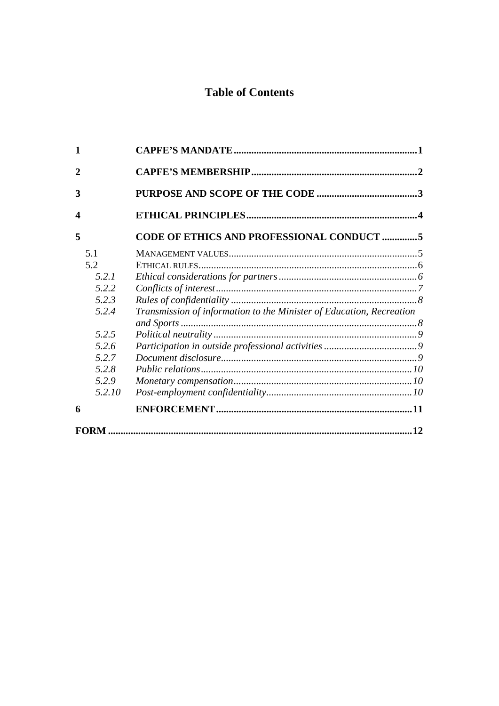## **Table of Contents**

| $\mathbf{1}$     |                                                                      |    |
|------------------|----------------------------------------------------------------------|----|
| $\mathbf 2$      |                                                                      |    |
| 3                |                                                                      |    |
| $\boldsymbol{4}$ |                                                                      |    |
| 5                | CODE OF ETHICS AND PROFESSIONAL CONDUCT 5                            |    |
| 5.1              |                                                                      |    |
| 5.2              |                                                                      |    |
| 5.2.1            |                                                                      |    |
| 5.2.2            |                                                                      |    |
| 5.2.3            |                                                                      |    |
| 5.2.4            | Transmission of information to the Minister of Education, Recreation |    |
|                  |                                                                      |    |
| 5.2.5            |                                                                      |    |
| 5.2.6            |                                                                      |    |
| 5.2.7            |                                                                      |    |
| 5.2.8            |                                                                      |    |
| 5.2.9            |                                                                      |    |
| 5.2.10           |                                                                      |    |
| 6                |                                                                      |    |
|                  |                                                                      | 12 |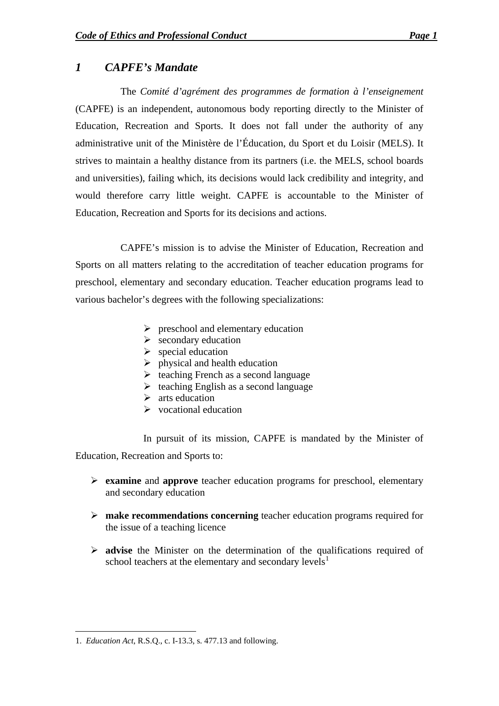## <span id="page-2-0"></span>*1 CAPFE's Mandate*

The *Comité d'agrément des programmes de formation à l'enseignement* (CAPFE) is an independent, autonomous body reporting directly to the Minister of Education, Recreation and Sports. It does not fall under the authority of any administrative unit of the Ministère de l'Éducation, du Sport et du Loisir (MELS). It strives to maintain a healthy distance from its partners (i.e. the MELS, school boards and universities), failing which, its decisions would lack credibility and integrity, and would therefore carry little weight. CAPFE is accountable to the Minister of Education, Recreation and Sports for its decisions and actions.

CAPFE's mission is to advise the Minister of Education, Recreation and Sports on all matters relating to the accreditation of teacher education programs for preschool, elementary and secondary education. Teacher education programs lead to various bachelor's degrees with the following specializations:

- $\triangleright$  preschool and elementary education
- $\triangleright$  secondary education
- $\triangleright$  special education
- $\triangleright$  physical and health education
- $\triangleright$  teaching French as a second language
- $\triangleright$  teaching English as a second language
- $\triangleright$  arts education
- $\triangleright$  vocational education

In pursuit of its mission, CAPFE is mandated by the Minister of Education, Recreation and Sports to:

- ¾ **examine** and **approve** teacher education programs for preschool, elementary and secondary education
- ¾ **make recommendations concerning** teacher education programs required for the issue of a teaching licence
- ¾ **advise** the Minister on the determination of the qualifications required of school teachers at the elementary and secondary levels $<sup>1</sup>$  $<sup>1</sup>$  $<sup>1</sup>$ </sup>

<span id="page-2-1"></span><sup>1</sup> 1. *Education Act*, R.S.Q., c. I-13.3, s. 477.13 and following.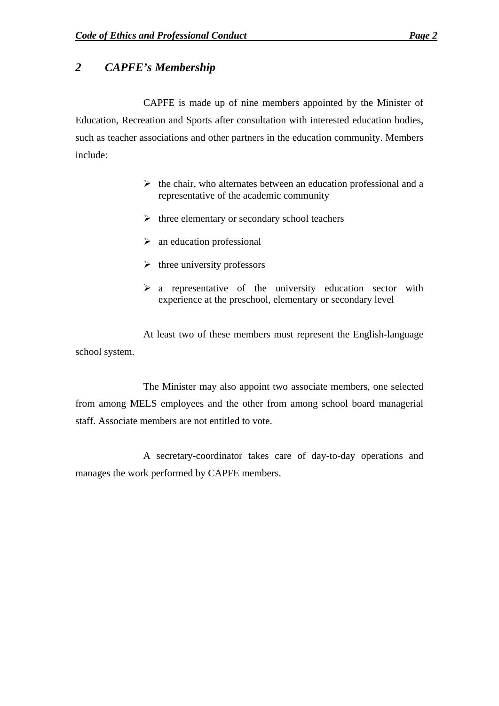## <span id="page-3-0"></span>*2 CAPFE's Membership*

CAPFE is made up of nine members appointed by the Minister of Education, Recreation and Sports after consultation with interested education bodies, such as teacher associations and other partners in the education community. Members include:

- $\triangleright$  the chair, who alternates between an education professional and a representative of the academic community
- $\triangleright$  three elementary or secondary school teachers
- $\triangleright$  an education professional
- $\triangleright$  three university professors
- $\triangleright$  a representative of the university education sector with experience at the preschool, elementary or secondary level

At least two of these members must represent the English-language school system.

The Minister may also appoint two associate members, one selected from among MELS employees and the other from among school board managerial staff. Associate members are not entitled to vote.

A secretary-coordinator takes care of day-to-day operations and manages the work performed by CAPFE members.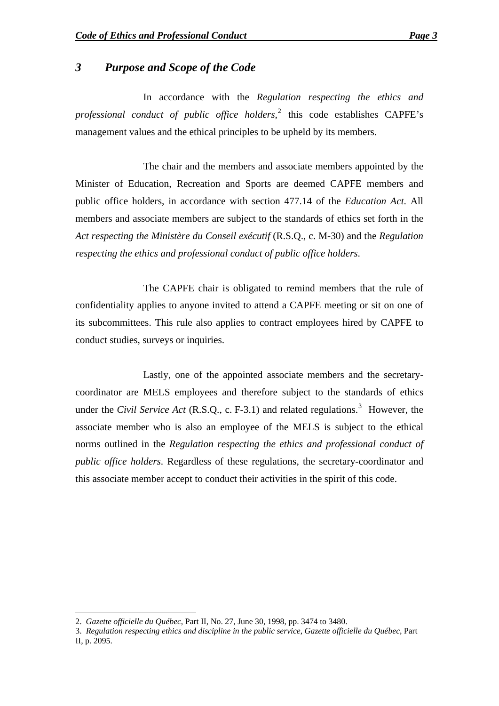### <span id="page-4-0"></span>*3 Purpose and Scope of the Code*

In accordance with the *Regulation respecting the ethics and professional conduct of public office holders*, [2](#page-4-1) this code establishes CAPFE's management values and the ethical principles to be upheld by its members.

The chair and the members and associate members appointed by the Minister of Education, Recreation and Sports are deemed CAPFE members and public office holders, in accordance with section 477.14 of the *Education Act*. All members and associate members are subject to the standards of ethics set forth in the *Act respecting the Ministère du Conseil exécutif* (R.S.Q., c. M-30) and the *Regulation respecting the ethics and professional conduct of public office holders*.

The CAPFE chair is obligated to remind members that the rule of confidentiality applies to anyone invited to attend a CAPFE meeting or sit on one of its subcommittees. This rule also applies to contract employees hired by CAPFE to conduct studies, surveys or inquiries.

Lastly, one of the appointed associate members and the secretarycoordinator are MELS employees and therefore subject to the standards of ethics under the *Civil Service Act* (R.S.Q., c. F-[3](#page-4-2).1) and related regulations.<sup>3</sup> However, the associate member who is also an employee of the MELS is subject to the ethical norms outlined in the *Regulation respecting the ethics and professional conduct of public office holders*. Regardless of these regulations, the secretary-coordinator and this associate member accept to conduct their activities in the spirit of this code.

1

<span id="page-4-1"></span><sup>2.</sup> *Gazette officielle du Québec*, Part II, No. 27, June 30, 1998, pp. 3474 to 3480.

<span id="page-4-2"></span><sup>3.</sup> *Regulation respecting ethics and discipline in the public service*, *Gazette officielle du Québec*, Part II, p. 2095.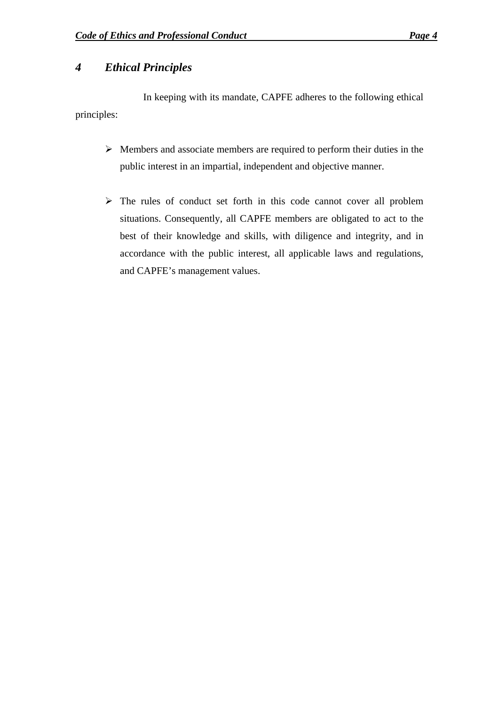## <span id="page-5-0"></span>*4 Ethical Principles*

In keeping with its mandate, CAPFE adheres to the following ethical principles:

- $\triangleright$  Members and associate members are required to perform their duties in the public interest in an impartial, independent and objective manner.
- ¾ The rules of conduct set forth in this code cannot cover all problem situations. Consequently, all CAPFE members are obligated to act to the best of their knowledge and skills, with diligence and integrity, and in accordance with the public interest, all applicable laws and regulations, and CAPFE's management values.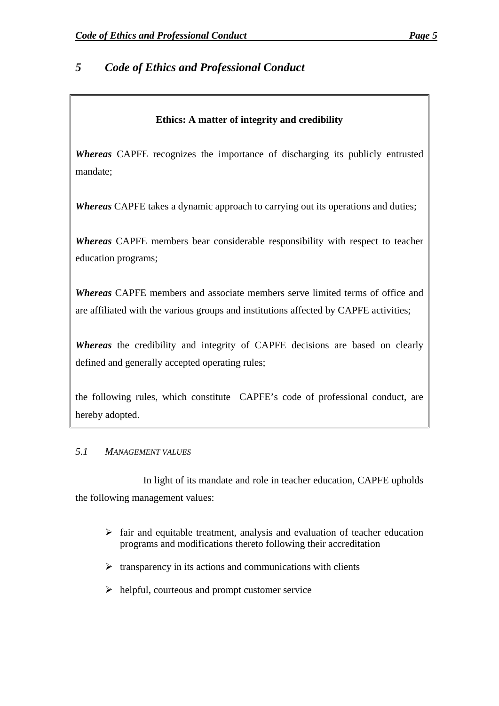## <span id="page-6-0"></span>*5 Code of Ethics and Professional Conduct*

#### **Ethics: A matter of integrity and credibility**

*Whereas* CAPFE recognizes the importance of discharging its publicly entrusted mandate;

*Whereas* CAPFE takes a dynamic approach to carrying out its operations and duties;

*Whereas* CAPFE members bear considerable responsibility with respect to teacher education programs;

*Whereas* CAPFE members and associate members serve limited terms of office and are affiliated with the various groups and institutions affected by CAPFE activities;

*Whereas* the credibility and integrity of CAPFE decisions are based on clearly defined and generally accepted operating rules;

the following rules, which constitute CAPFE's code of professional conduct, are hereby adopted.

#### *5.1 MANAGEMENT VALUES*

In light of its mandate and role in teacher education, CAPFE upholds the following management values:

- $\triangleright$  fair and equitable treatment, analysis and evaluation of teacher education programs and modifications thereto following their accreditation
- $\triangleright$  transparency in its actions and communications with clients
- $\triangleright$  helpful, courteous and prompt customer service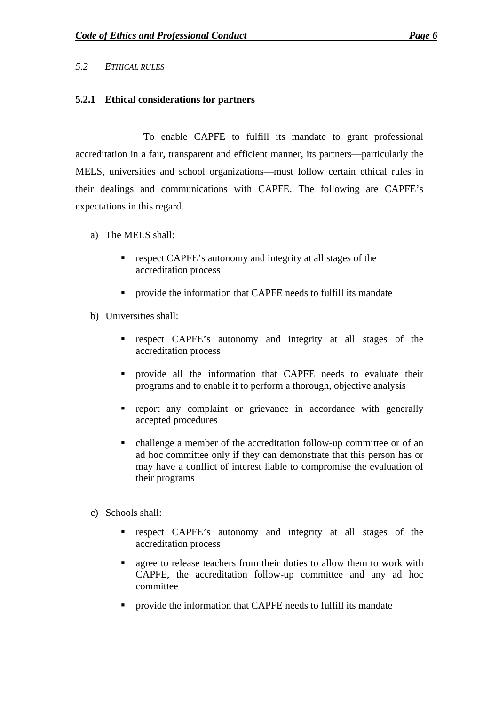#### <span id="page-7-0"></span>*5.2 ETHICAL RULES*

#### **5.2.1 Ethical considerations for partners**

To enable CAPFE to fulfill its mandate to grant professional accreditation in a fair, transparent and efficient manner, its partners—particularly the MELS, universities and school organizations—must follow certain ethical rules in their dealings and communications with CAPFE. The following are CAPFE's expectations in this regard.

- a) The MELS shall:
	- respect CAPFE's autonomy and integrity at all stages of the accreditation process
	- **PEDITE:** provide the information that CAPFE needs to fulfill its mandate
- b) Universities shall:
	- **•** respect CAPFE's autonomy and integrity at all stages of the accreditation process
	- **Perovide all the information that CAPFE needs to evaluate their** programs and to enable it to perform a thorough, objective analysis
	- **report** any complaint or grievance in accordance with generally accepted procedures
	- challenge a member of the accreditation follow-up committee or of an ad hoc committee only if they can demonstrate that this person has or may have a conflict of interest liable to compromise the evaluation of their programs
- c) Schools shall:
	- **•** respect CAPFE's autonomy and integrity at all stages of the accreditation process
	- agree to release teachers from their duties to allow them to work with CAPFE, the accreditation follow-up committee and any ad hoc committee
	- **PEDITE:** provide the information that CAPFE needs to fulfill its mandate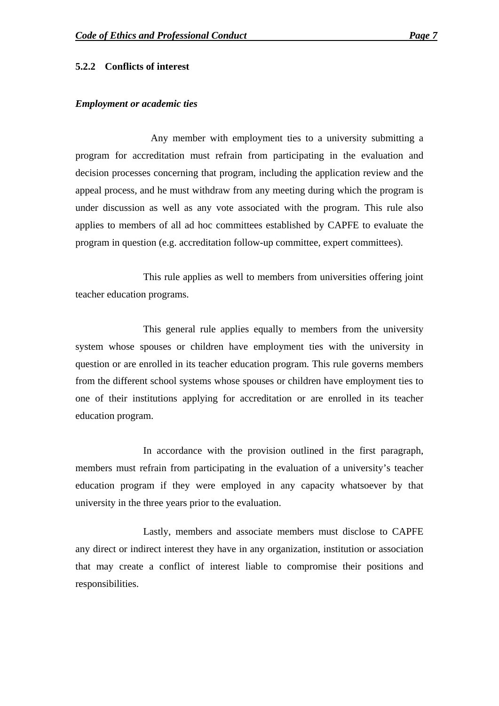#### <span id="page-8-0"></span>**5.2.2 Conflicts of interest**

#### *Employment or academic ties*

Any member with employment ties to a university submitting a program for accreditation must refrain from participating in the evaluation and decision processes concerning that program, including the application review and the appeal process, and he must withdraw from any meeting during which the program is under discussion as well as any vote associated with the program. This rule also applies to members of all ad hoc committees established by CAPFE to evaluate the program in question (e.g. accreditation follow-up committee, expert committees).

This rule applies as well to members from universities offering joint teacher education programs.

This general rule applies equally to members from the university system whose spouses or children have employment ties with the university in question or are enrolled in its teacher education program. This rule governs members from the different school systems whose spouses or children have employment ties to one of their institutions applying for accreditation or are enrolled in its teacher education program.

In accordance with the provision outlined in the first paragraph, members must refrain from participating in the evaluation of a university's teacher education program if they were employed in any capacity whatsoever by that university in the three years prior to the evaluation.

Lastly, members and associate members must disclose to CAPFE any direct or indirect interest they have in any organization, institution or association that may create a conflict of interest liable to compromise their positions and responsibilities.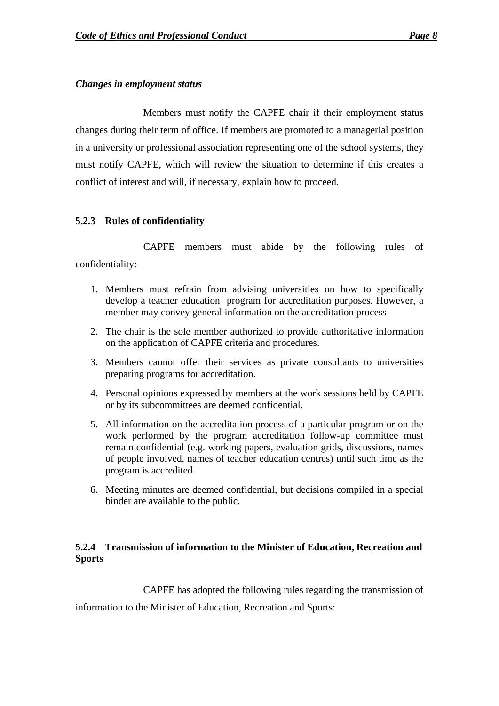#### <span id="page-9-0"></span>*Changes in employment status*

Members must notify the CAPFE chair if their employment status changes during their term of office. If members are promoted to a managerial position in a university or professional association representing one of the school systems, they must notify CAPFE, which will review the situation to determine if this creates a conflict of interest and will, if necessary, explain how to proceed.

#### **5.2.3 Rules of confidentiality**

CAPFE members must abide by the following rules of confidentiality:

- 1. Members must refrain from advising universities on how to specifically develop a teacher education program for accreditation purposes. However, a member may convey general information on the accreditation process
- 2. The chair is the sole member authorized to provide authoritative information on the application of CAPFE criteria and procedures.
- 3. Members cannot offer their services as private consultants to universities preparing programs for accreditation.
- 4. Personal opinions expressed by members at the work sessions held by CAPFE or by its subcommittees are deemed confidential.
- 5. All information on the accreditation process of a particular program or on the work performed by the program accreditation follow-up committee must remain confidential (e.g. working papers, evaluation grids, discussions, names of people involved, names of teacher education centres) until such time as the program is accredited.
- 6. Meeting minutes are deemed confidential, but decisions compiled in a special binder are available to the public.

### **5.2.4 Transmission of information to the Minister of Education, Recreation and Sports**

CAPFE has adopted the following rules regarding the transmission of

information to the Minister of Education, Recreation and Sports: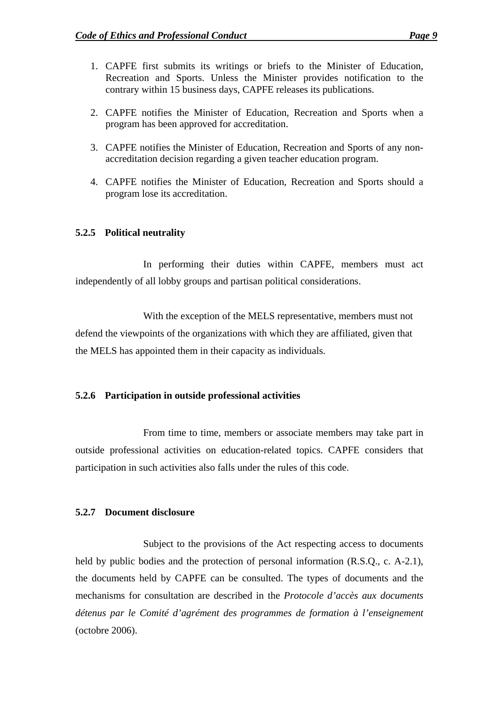- <span id="page-10-0"></span>1. CAPFE first submits its writings or briefs to the Minister of Education, Recreation and Sports. Unless the Minister provides notification to the contrary within 15 business days, CAPFE releases its publications.
- 2. CAPFE notifies the Minister of Education, Recreation and Sports when a program has been approved for accreditation.
- 3. CAPFE notifies the Minister of Education, Recreation and Sports of any nonaccreditation decision regarding a given teacher education program.
- 4. CAPFE notifies the Minister of Education, Recreation and Sports should a program lose its accreditation.

#### **5.2.5 Political neutrality**

In performing their duties within CAPFE, members must act independently of all lobby groups and partisan political considerations.

With the exception of the MELS representative, members must not defend the viewpoints of the organizations with which they are affiliated, given that the MELS has appointed them in their capacity as individuals.

#### **5.2.6 Participation in outside professional activities**

From time to time, members or associate members may take part in outside professional activities on education-related topics. CAPFE considers that participation in such activities also falls under the rules of this code.

#### **5.2.7 Document disclosure**

Subject to the provisions of the Act respecting access to documents held by public bodies and the protection of personal information (R.S.Q., c. A-2.1), the documents held by CAPFE can be consulted. The types of documents and the mechanisms for consultation are described in the *Protocole d'accès aux documents détenus par le Comité d'agrément des programmes de formation à l'enseignement* (octobre 2006).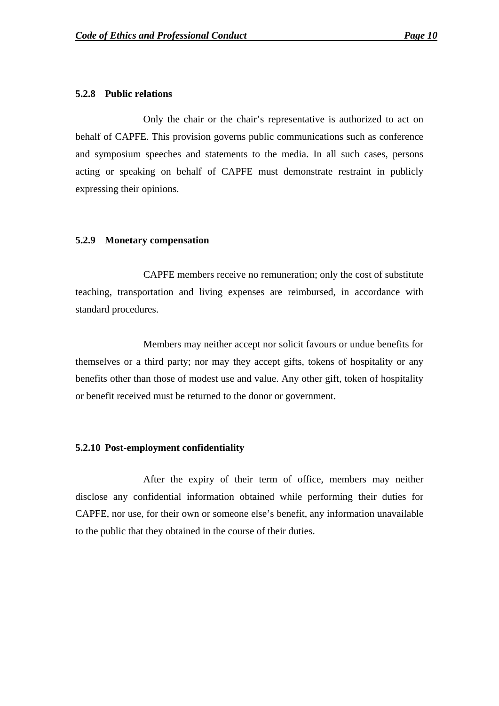#### <span id="page-11-0"></span>**5.2.8 Public relations**

Only the chair or the chair's representative is authorized to act on behalf of CAPFE. This provision governs public communications such as conference and symposium speeches and statements to the media. In all such cases, persons acting or speaking on behalf of CAPFE must demonstrate restraint in publicly expressing their opinions.

#### **5.2.9 Monetary compensation**

CAPFE members receive no remuneration; only the cost of substitute teaching, transportation and living expenses are reimbursed, in accordance with standard procedures.

Members may neither accept nor solicit favours or undue benefits for themselves or a third party; nor may they accept gifts, tokens of hospitality or any benefits other than those of modest use and value. Any other gift, token of hospitality or benefit received must be returned to the donor or government.

#### **5.2.10 Post-employment confidentiality**

After the expiry of their term of office, members may neither disclose any confidential information obtained while performing their duties for CAPFE, nor use, for their own or someone else's benefit, any information unavailable to the public that they obtained in the course of their duties.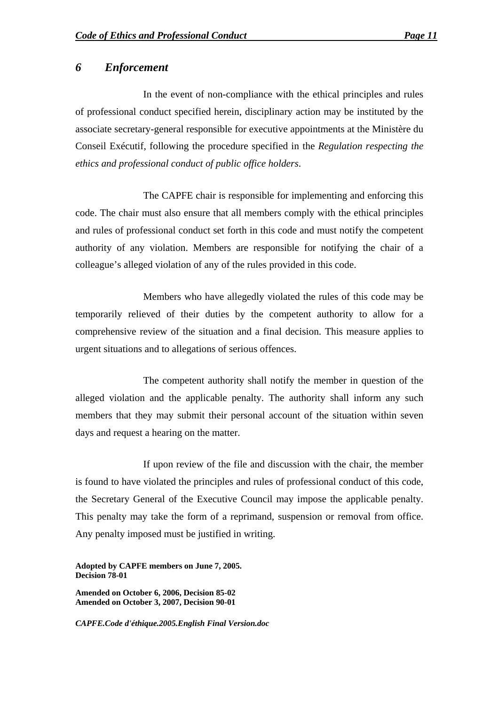#### <span id="page-12-0"></span>*6 Enforcement*

In the event of non-compliance with the ethical principles and rules of professional conduct specified herein, disciplinary action may be instituted by the associate secretary-general responsible for executive appointments at the Ministère du Conseil Exécutif, following the procedure specified in the *Regulation respecting the ethics and professional conduct of public office holders*.

The CAPFE chair is responsible for implementing and enforcing this code. The chair must also ensure that all members comply with the ethical principles and rules of professional conduct set forth in this code and must notify the competent authority of any violation. Members are responsible for notifying the chair of a colleague's alleged violation of any of the rules provided in this code.

Members who have allegedly violated the rules of this code may be temporarily relieved of their duties by the competent authority to allow for a comprehensive review of the situation and a final decision. This measure applies to urgent situations and to allegations of serious offences.

The competent authority shall notify the member in question of the alleged violation and the applicable penalty. The authority shall inform any such members that they may submit their personal account of the situation within seven days and request a hearing on the matter.

If upon review of the file and discussion with the chair, the member is found to have violated the principles and rules of professional conduct of this code, the Secretary General of the Executive Council may impose the applicable penalty. This penalty may take the form of a reprimand, suspension or removal from office. Any penalty imposed must be justified in writing.

**Adopted by CAPFE members on June 7, 2005. Decision 78-01** 

**Amended on October 6, 2006, Decision 85-02 Amended on October 3, 2007, Decision 90-01** 

*CAPFE.Code d'éthique.2005.English Final Version.doc*